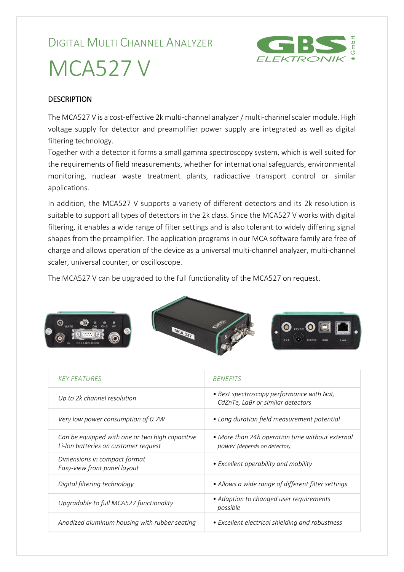## DIGITAL MULTI CHANNEL ANALYZER



## MCA527 V

## **DESCRIPTION**

The MCA527 V is a cost-effective 2k multi-channel analyzer / multi-channel scaler module. High voltage supply for detector and preamplifier power supply are integrated as well as digital filtering technology.

Together with a detector it forms a small gamma spectroscopy system, which is well suited for the requirements of field measurements, whether for international safeguards, environmental monitoring, nuclear waste treatment plants, radioactive transport control or similar applications.

In addition, the MCA527 V supports a variety of different detectors and its 2k resolution is suitable to support all types of detectors in the 2k class. Since the MCA527 V works with digital filtering, it enables a wide range of filter settings and is also tolerant to widely differing signal shapes from the preamplifier. The application programs in our MCA software family are free of charge and allows operation of the device as a universal multi-channel analyzer, multi-channel scaler, universal counter, or oscilloscope.

The MCA527 V can be upgraded to the full functionality of the MCA527 on request.



| <b>KEY FEATURES</b>                                                                     | <b>BENEFITS</b>                                                                |  |
|-----------------------------------------------------------------------------------------|--------------------------------------------------------------------------------|--|
| Up to 2k channel resolution                                                             | • Best spectroscopy performance with Nal,<br>CdZnTe, LaBr or similar detectors |  |
| Very low power consumption of 0.7W                                                      | • Long duration field measurement potential                                    |  |
| Can be equipped with one or two high capacitive<br>Li-Ion batteries on customer request | • More than 24h operation time without external<br>power (depends on detector) |  |
| Dimensions in compact format<br>Easy-view front panel layout                            | • Excellent operability and mobility                                           |  |
| Digital filtering technology                                                            | • Allows a wide range of different filter settings                             |  |
| Upgradable to full MCA527 functionality                                                 | • Adaption to changed user requirements<br>possible                            |  |
| Anodized aluminum housing with rubber seating                                           | • Excellent electrical shielding and robustness                                |  |